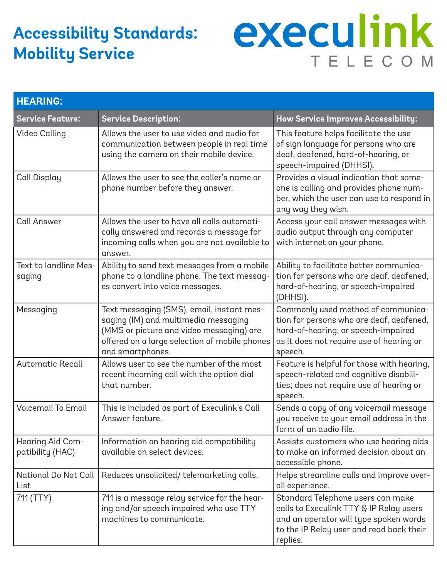## **Accessibility Standards: Mobility Service**

## execulink TELECOM

| <b>HEARING:</b>                      |                                                                                                                                                                                                    |                                                                                                                                                                                |  |  |
|--------------------------------------|----------------------------------------------------------------------------------------------------------------------------------------------------------------------------------------------------|--------------------------------------------------------------------------------------------------------------------------------------------------------------------------------|--|--|
| <b>Service Feature:</b>              | <b>Service Description:</b>                                                                                                                                                                        | How Service Improves Accessibility:                                                                                                                                            |  |  |
| <b>Video Calling</b>                 | Allows the user to use video and audio for<br>communication between people in real time<br>using the camera on their mobile device.                                                                | This feature helps facilitate the use<br>of sign language for persons who are<br>deaf, deafened, hard-of-hearing, or<br>speech-impaired (DHHSI).                               |  |  |
| Call Display                         | Allows the user to see the caller's name or<br>phone number before they answer.                                                                                                                    | Provides a visual indication that some-<br>one is calling and provides phone num-<br>ber, which the user can use to respond in<br>any way they wish.                           |  |  |
| <b>Call Answer</b>                   | Allows the user to have all calls automati-<br>cally answered and records a message for<br>incoming calls when you are not available to<br>answer.                                                 | Access your call answer messages with<br>audio output through any computer<br>with internet on your phone.                                                                     |  |  |
| Text to landline Mes-<br>saging      | Ability to send text messages from a mobile<br>phone to a landline phone. The text messag-<br>es convert into voice messages.                                                                      | Ability to facilitate better communica-<br>tion for persons who are deaf, deafened,<br>hard-of-hearing, or speech-impaired<br>(DHHSI).                                         |  |  |
| Messaging                            | Text messaging (SMS), email, instant mes-<br>saging (IM) and multimedia messaging<br>(MMS or picture and video messaging) are<br>offered on a large selection of mobile phones<br>and smartphones. | Commonly used method of communica-<br>tion for persons who are deaf, deafened,<br>hard-of-hearing, or speech-impaired<br>as it does not require use of hearing or<br>speech.   |  |  |
| <b>Automatic Recall</b>              | Allows user to see the number of the most<br>recent incoming call with the option dial<br>that number.                                                                                             | Feature is helpful for those with hearing,<br>speech-related and cognitive disabili-<br>ties; does not require use of hearing or<br>speech.                                    |  |  |
| <b>Voicemail To Email</b>            | This is included as part of Execulink's Call<br>Answer feature.                                                                                                                                    | Sends a copy of any voicemail message<br>you receive to your email address in the<br>form of an audio file.                                                                    |  |  |
| Hearing Aid Com-<br>patibility (HAC) | Information on hearing aid compatibility<br>available on select devices.                                                                                                                           | Assists customers who use hearing aids<br>to make an informed decision about an<br>accessible phone.                                                                           |  |  |
| <b>National Do Not Call</b><br>List  | Reduces unsolicited/telemarketing calls.                                                                                                                                                           | Helps streamline calls and improve over-<br>all experience.                                                                                                                    |  |  |
| 711 (TTY)                            | 711 is a message relay service for the hear-<br>ing and/or speech impaired who use TTY<br>machines to communicate.                                                                                 | Standard Telephone users can make<br>calls to Execulink TTY & IP Relay users<br>and an operator will type spoken words<br>to the IP Relay user and read back their<br>replies. |  |  |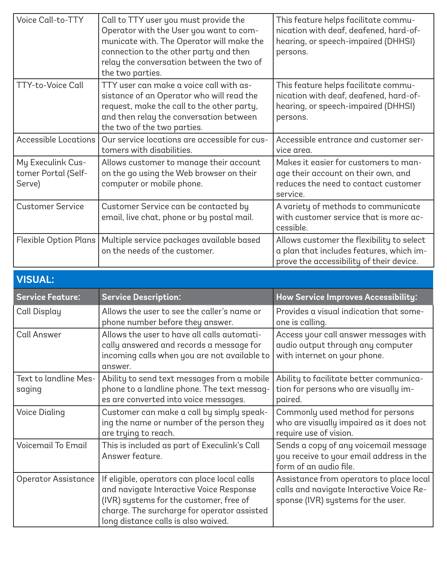| Voice Call-to-TTY                                  | Call to TTY user you must provide the<br>Operator with the User you want to com-<br>municate with. The Operator will make the<br>connection to the other party and then<br>relay the conversation between the two of<br>the two parties. | This feature helps facilitate commu-<br>nication with deaf, deafened, hard-of-<br>hearing, or speech-impaired (DHHSI)<br>persons. |  |  |
|----------------------------------------------------|------------------------------------------------------------------------------------------------------------------------------------------------------------------------------------------------------------------------------------------|-----------------------------------------------------------------------------------------------------------------------------------|--|--|
| <b>TTY-to-Voice Call</b>                           | TTY user can make a voice call with as-<br>sistance of an Operator who will read the<br>request, make the call to the other party,<br>and then relay the conversation between<br>the two of the two parties.                             | This feature helps facilitate commu-<br>nication with deaf, deafened, hard-of-<br>hearing, or speech-impaired (DHHSI)<br>persons. |  |  |
| <b>Accessible Locations</b>                        | Our service locations are accessible for cus-<br>tomers with disabilities.                                                                                                                                                               | Accessible entrance and customer ser-<br>vice area.                                                                               |  |  |
| My Execulink Cus-<br>tomer Portal (Self-<br>Serve) | Allows customer to manage their account<br>on the go using the Web browser on their<br>computer or mobile phone.                                                                                                                         | Makes it easier for customers to man-<br>age their account on their own, and<br>reduces the need to contact customer<br>service.  |  |  |
| <b>Customer Service</b>                            | Customer Service can be contacted by<br>email, live chat, phone or by postal mail.                                                                                                                                                       | A variety of methods to communicate<br>with customer service that is more ac-<br>cessible.                                        |  |  |
| <b>Flexible Option Plans</b>                       | Multiple service packages available based<br>on the needs of the customer.                                                                                                                                                               | Allows customer the flexibility to select<br>a plan that includes features, which im-<br>prove the accessibility of their device. |  |  |
| <b>VISUAL:</b>                                     |                                                                                                                                                                                                                                          |                                                                                                                                   |  |  |
|                                                    |                                                                                                                                                                                                                                          |                                                                                                                                   |  |  |
| <b>Service Feature:</b>                            | <b>Service Description:</b>                                                                                                                                                                                                              | How Service Improves Accessibility:                                                                                               |  |  |
| Call Display                                       | Allows the user to see the caller's name or<br>phone number before they answer.                                                                                                                                                          | Provides a visual indication that some-<br>one is calling.                                                                        |  |  |
| <b>Call Answer</b>                                 | Allows the user to have all calls automati-<br>cally answered and records a message for<br>incoming calls when you are not available to<br>answer.                                                                                       | Access your call answer messages with<br>audio output through any computer<br>with internet on your phone.                        |  |  |
| Text to landline Mes-<br>saging                    | Ability to send text messages from a mobile<br>phone to a landline phone. The text messag-<br>es are converted into voice messages.                                                                                                      | Ability to facilitate better communica-<br>tion for persons who are visually im-<br>paired.                                       |  |  |
| <b>Voice Dialing</b>                               | Customer can make a call by simply speak-<br>ing the name or number of the person they<br>are trying to reach.                                                                                                                           | Commonly used method for persons<br>who are visually impaired as it does not<br>require use of vision.                            |  |  |
| <b>Voicemail To Email</b>                          | This is included as part of Execulink's Call<br>Answer feature.                                                                                                                                                                          | Sends a copy of any voicemail message<br>you receive to your email address in the<br>form of an audio file.                       |  |  |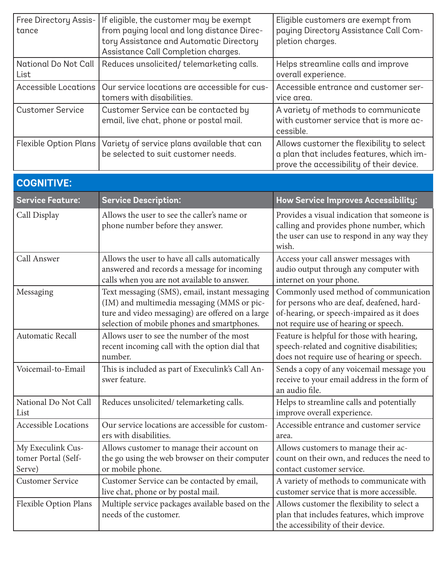| Free Directory Assis-<br>tance                     | If eligible, the customer may be exempt<br>from paying local and long distance Direc-<br>tory Assistance and Automatic Directory<br>Assistance Call Completion charges.                         | Eligible customers are exempt from<br>paying Directory Assistance Call Com-<br>pletion charges.                                                                          |
|----------------------------------------------------|-------------------------------------------------------------------------------------------------------------------------------------------------------------------------------------------------|--------------------------------------------------------------------------------------------------------------------------------------------------------------------------|
| National Do Not Call<br>List                       | Reduces unsolicited/telemarketing calls.                                                                                                                                                        | Helps streamline calls and improve<br>overall experience.                                                                                                                |
| <b>Accessible Locations</b>                        | Our service locations are accessible for cus-<br>tomers with disabilities.                                                                                                                      | Accessible entrance and customer ser-<br>vice area.                                                                                                                      |
| <b>Customer Service</b>                            | Customer Service can be contacted by<br>email, live chat, phone or postal mail.                                                                                                                 | A variety of methods to communicate<br>with customer service that is more ac-<br>cessible.                                                                               |
| <b>Flexible Option Plans</b>                       | Variety of service plans available that can<br>be selected to suit customer needs.                                                                                                              | Allows customer the flexibility to select<br>a plan that includes features, which im-<br>prove the accessibility of their device.                                        |
| <b>COGNITIVE:</b>                                  |                                                                                                                                                                                                 |                                                                                                                                                                          |
| <b>Service Feature:</b>                            | <b>Service Description:</b>                                                                                                                                                                     | How Service Improves Accessibility:                                                                                                                                      |
| Call Display                                       | Allows the user to see the caller's name or<br>phone number before they answer.                                                                                                                 | Provides a visual indication that someone is<br>calling and provides phone number, which<br>the user can use to respond in any way they<br>wish.                         |
| Call Answer                                        | Allows the user to have all calls automatically<br>answered and records a message for incoming<br>calls when you are not available to answer.                                                   | Access your call answer messages with<br>audio output through any computer with<br>internet on your phone.                                                               |
| Messaging                                          | Text messaging (SMS), email, instant messaging<br>(IM) and multimedia messaging (MMS or pic-<br>ture and video messaging) are offered on a large<br>selection of mobile phones and smartphones. | Commonly used method of communication<br>for persons who are deaf, deafened, hard-<br>of-hearing, or speech-impaired as it does<br>not require use of hearing or speech. |
| <b>Automatic Recall</b>                            | Allows user to see the number of the most<br>recent incoming call with the option dial that<br>number.                                                                                          | Feature is helpful for those with hearing,<br>speech-related and cognitive disabilities;<br>does not require use of hearing or speech.                                   |
| Voicemail-to-Email                                 | This is included as part of Execulink's Call An-<br>swer feature.                                                                                                                               | Sends a copy of any voicemail message you<br>receive to your email address in the form of<br>an audio file.                                                              |
| National Do Not Call<br>List                       | Reduces unsolicited/telemarketing calls.                                                                                                                                                        | Helps to streamline calls and potentially<br>improve overall experience.                                                                                                 |
| <b>Accessible Locations</b>                        | Our service locations are accessible for custom-<br>ers with disabilities.                                                                                                                      | Accessible entrance and customer service<br>area.                                                                                                                        |
| My Execulink Cus-<br>tomer Portal (Self-<br>Serve) | Allows customer to manage their account on<br>the go using the web browser on their computer<br>or mobile phone.                                                                                | Allows customers to manage their ac-<br>count on their own, and reduces the need to<br>contact customer service.                                                         |
| <b>Customer Service</b>                            | Customer Service can be contacted by email,<br>live chat, phone or by postal mail.                                                                                                              | A variety of methods to communicate with<br>customer service that is more accessible.                                                                                    |
| <b>Flexible Option Plans</b>                       | Multiple service packages available based on the<br>needs of the customer.                                                                                                                      | Allows customer the flexibility to select a<br>plan that includes features, which improve<br>the accessibility of their device.                                          |